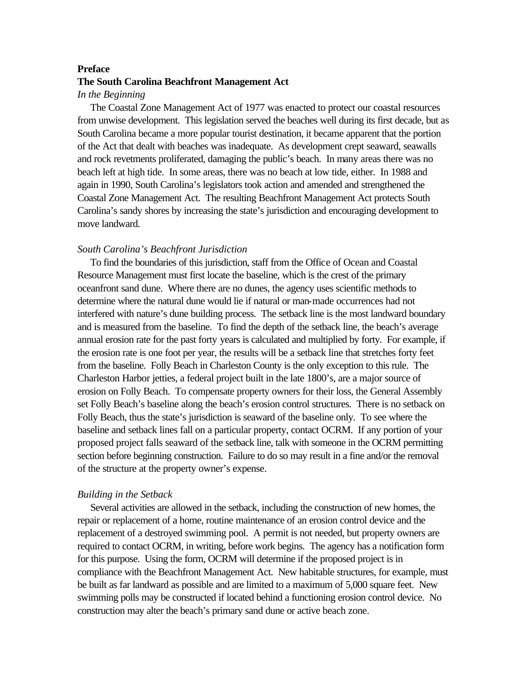### **Preface**

# **The South Carolina Beachfront Management Act**

# *In the Beginning*

 The Coastal Zone Management Act of 1977 was enacted to protect our coastal resources from unwise development. This legislation served the beaches well during its first decade, but as South Carolina became a more popular tourist destination, it became apparent that the portion of the Act that dealt with beaches was inadequate. As development crept seaward, seawalls and rock revetments proliferated, damaging the public's beach. In many areas there was no beach left at high tide. In some areas, there was no beach at low tide, either. In 1988 and again in 1990, South Carolina's legislators took action and amended and strengthened the Coastal Zone Management Act. The resulting Beachfront Management Act protects South Carolina's sandy shores by increasing the state's jurisdiction and encouraging development to move landward.

#### *South Carolina's Beachfront Jurisdiction*

 To find the boundaries of this jurisdiction, staff from the Office of Ocean and Coastal Resource Management must first locate the baseline, which is the crest of the primary oceanfront sand dune. Where there are no dunes, the agency uses scientific methods to determine where the natural dune would lie if natural or man-made occurrences had not interfered with nature's dune building process. The setback line is the most landward boundary and is measured from the baseline. To find the depth of the setback line, the beach's average annual erosion rate for the past forty years is calculated and multiplied by forty. For example, if the erosion rate is one foot per year, the results will be a setback line that stretches forty feet from the baseline. Folly Beach in Charleston County is the only exception to this rule. The Charleston Harbor jetties, a federal project built in the late 1800's, are a major source of erosion on Folly Beach. To compensate property owners for their loss, the General Assembly set Folly Beach's baseline along the beach's erosion control structures. There is no setback on Folly Beach, thus the state's jurisdiction is seaward of the baseline only. To see where the baseline and setback lines fall on a particular property, contact OCRM. If any portion of your proposed project falls seaward of the setback line, talk with someone in the OCRM permitting section before beginning construction. Failure to do so may result in a fine and/or the removal of the structure at the property owner's expense.

### *Building in the Setback*

 Several activities are allowed in the setback, including the construction of new homes, the repair or replacement of a home, routine maintenance of an erosion control device and the replacement of a destroyed swimming pool. A permit is not needed, but property owners are required to contact OCRM, in writing, before work begins. The agency has a notification form for this purpose. Using the form, OCRM will determine if the proposed project is in compliance with the Beachfront Management Act. New habitable structures, for example, must be built as far landward as possible and are limited to a maximum of 5,000 square feet. New swimming polls may be constructed if located behind a functioning erosion control device. No construction may alter the beach's primary sand dune or active beach zone.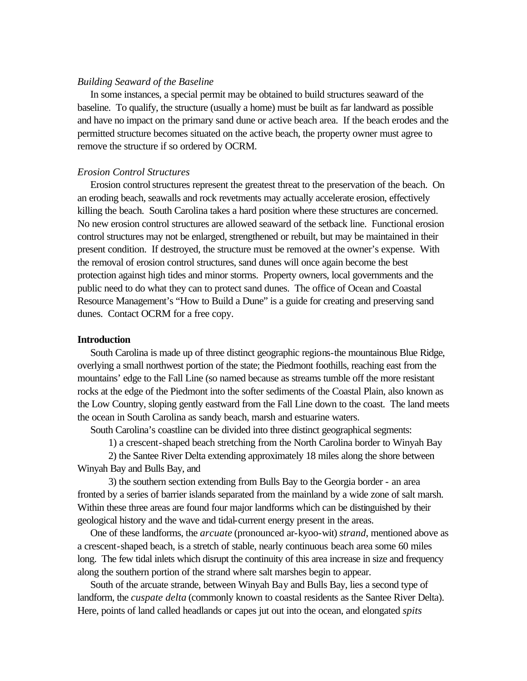### *Building Seaward of the Baseline*

In some instances, a special permit may be obtained to build structures seaward of the baseline. To qualify, the structure (usually a home) must be built as far landward as possible and have no impact on the primary sand dune or active beach area. If the beach erodes and the permitted structure becomes situated on the active beach, the property owner must agree to remove the structure if so ordered by OCRM.

# *Erosion Control Structures*

 Erosion control structures represent the greatest threat to the preservation of the beach. On an eroding beach, seawalls and rock revetments may actually accelerate erosion, effectively killing the beach. South Carolina takes a hard position where these structures are concerned. No new erosion control structures are allowed seaward of the setback line. Functional erosion control structures may not be enlarged, strengthened or rebuilt, but may be maintained in their present condition. If destroyed, the structure must be removed at the owner's expense. With the removal of erosion control structures, sand dunes will once again become the best protection against high tides and minor storms. Property owners, local governments and the public need to do what they can to protect sand dunes. The office of Ocean and Coastal Resource Management's "How to Build a Dune" is a guide for creating and preserving sand dunes. Contact OCRM for a free copy.

# **Introduction**

 South Carolina is made up of three distinct geographic regions-the mountainous Blue Ridge, overlying a small northwest portion of the state; the Piedmont foothills, reaching east from the mountains' edge to the Fall Line (so named because as streams tumble off the more resistant rocks at the edge of the Piedmont into the softer sediments of the Coastal Plain, also known as the Low Country, sloping gently eastward from the Fall Line down to the coast. The land meets the ocean in South Carolina as sandy beach, marsh and estuarine waters.

South Carolina's coastline can be divided into three distinct geographical segments:

1) a crescent-shaped beach stretching from the North Carolina border to Winyah Bay

2) the Santee River Delta extending approximately 18 miles along the shore between Winyah Bay and Bulls Bay, and

3) the southern section extending from Bulls Bay to the Georgia border - an area fronted by a series of barrier islands separated from the mainland by a wide zone of salt marsh. Within these three areas are found four major landforms which can be distinguished by their geological history and the wave and tidal-current energy present in the areas.

 One of these landforms, the *arcuate* (pronounced ar-kyoo-wit) *strand*, mentioned above as a crescent-shaped beach, is a stretch of stable, nearly continuous beach area some 60 miles long. The few tidal inlets which disrupt the continuity of this area increase in size and frequency along the southern portion of the strand where salt marshes begin to appear.

 South of the arcuate strande, between Winyah Bay and Bulls Bay, lies a second type of landform, the *cuspate delta* (commonly known to coastal residents as the Santee River Delta). Here, points of land called headlands or capes jut out into the ocean, and elongated *spits*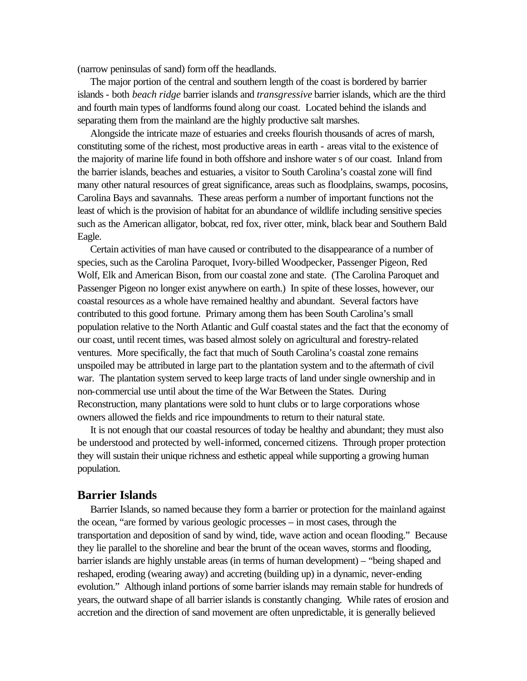(narrow peninsulas of sand) form off the headlands.

 The major portion of the central and southern length of the coast is bordered by barrier islands - both *beach ridge* barrier islands and *transgressive* barrier islands, which are the third and fourth main types of landforms found along our coast. Located behind the islands and separating them from the mainland are the highly productive salt marshes.

 Alongside the intricate maze of estuaries and creeks flourish thousands of acres of marsh, constituting some of the richest, most productive areas in earth - areas vital to the existence of the majority of marine life found in both offshore and inshore water s of our coast. Inland from the barrier islands, beaches and estuaries, a visitor to South Carolina's coastal zone will find many other natural resources of great significance, areas such as floodplains, swamps, pocosins, Carolina Bays and savannahs. These areas perform a number of important functions not the least of which is the provision of habitat for an abundance of wildlife including sensitive species such as the American alligator, bobcat, red fox, river otter, mink, black bear and Southern Bald Eagle.

 Certain activities of man have caused or contributed to the disappearance of a number of species, such as the Carolina Paroquet, Ivory-billed Woodpecker, Passenger Pigeon, Red Wolf, Elk and American Bison, from our coastal zone and state. (The Carolina Paroquet and Passenger Pigeon no longer exist anywhere on earth.) In spite of these losses, however, our coastal resources as a whole have remained healthy and abundant. Several factors have contributed to this good fortune. Primary among them has been South Carolina's small population relative to the North Atlantic and Gulf coastal states and the fact that the economy of our coast, until recent times, was based almost solely on agricultural and forestry-related ventures. More specifically, the fact that much of South Carolina's coastal zone remains unspoiled may be attributed in large part to the plantation system and to the aftermath of civil war. The plantation system served to keep large tracts of land under single ownership and in non-commercial use until about the time of the War Between the States. During Reconstruction, many plantations were sold to hunt clubs or to large corporations whose owners allowed the fields and rice impoundments to return to their natural state.

 It is not enough that our coastal resources of today be healthy and abundant; they must also be understood and protected by well-informed, concerned citizens. Through proper protection they will sustain their unique richness and esthetic appeal while supporting a growing human population.

# **Barrier Islands**

 Barrier Islands, so named because they form a barrier or protection for the mainland against the ocean, "are formed by various geologic processes – in most cases, through the transportation and deposition of sand by wind, tide, wave action and ocean flooding." Because they lie parallel to the shoreline and bear the brunt of the ocean waves, storms and flooding, barrier islands are highly unstable areas (in terms of human development) – "being shaped and reshaped, eroding (wearing away) and accreting (building up) in a dynamic, never-ending evolution." Although inland portions of some barrier islands may remain stable for hundreds of years, the outward shape of all barrier islands is constantly changing. While rates of erosion and accretion and the direction of sand movement are often unpredictable, it is generally believed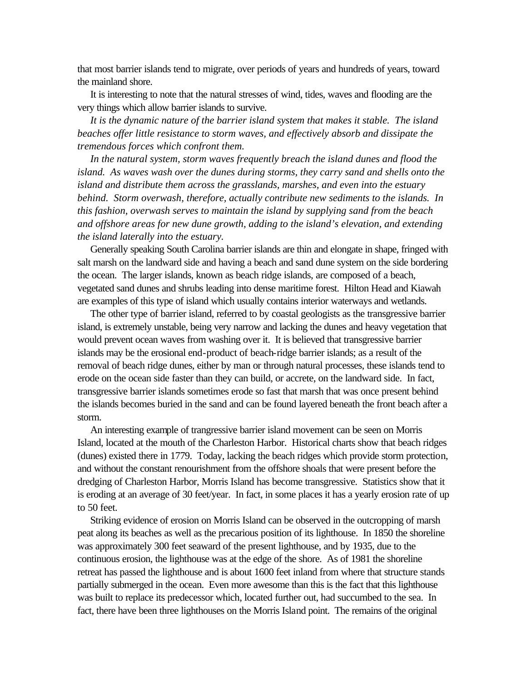that most barrier islands tend to migrate, over periods of years and hundreds of years, toward the mainland shore.

 It is interesting to note that the natural stresses of wind, tides, waves and flooding are the very things which allow barrier islands to survive.

 *It is the dynamic nature of the barrier island system that makes it stable. The island beaches offer little resistance to storm waves, and effectively absorb and dissipate the tremendous forces which confront them.*

In the natural system, storm waves frequently breach the *island dunes and flood the island. As waves wash over the dunes during storms, they carry sand and shells onto the island and distribute them across the grasslands, marshes, and even into the estuary behind. Storm overwash, therefore, actually contribute new sediments to the islands. In this fashion, overwash serves to maintain the island by supplying sand from the beach and offshore areas for new dune growth, adding to the island's elevation, and extending the island laterally into the estuary.*

Generally speaking South Carolina barrier islands are thin and elongate in shape, fringed with salt marsh on the landward side and having a beach and sand dune system on the side bordering the ocean. The larger islands, known as beach ridge islands, are composed of a beach, vegetated sand dunes and shrubs leading into dense maritime forest. Hilton Head and Kiawah are examples of this type of island which usually contains interior waterways and wetlands.

 The other type of barrier island, referred to by coastal geologists as the transgressive barrier island, is extremely unstable, being very narrow and lacking the dunes and heavy vegetation that would prevent ocean waves from washing over it. It is believed that transgressive barrier islands may be the erosional end-product of beach-ridge barrier islands; as a result of the removal of beach ridge dunes, either by man or through natural processes, these islands tend to erode on the ocean side faster than they can build, or accrete, on the landward side. In fact, transgressive barrier islands sometimes erode so fast that marsh that was once present behind the islands becomes buried in the sand and can be found layered beneath the front beach after a storm.

 An interesting example of trangressive barrier island movement can be seen on Morris Island, located at the mouth of the Charleston Harbor. Historical charts show that beach ridges (dunes) existed there in 1779. Today, lacking the beach ridges which provide storm protection, and without the constant renourishment from the offshore shoals that were present before the dredging of Charleston Harbor, Morris Island has become transgressive. Statistics show that it is eroding at an average of 30 feet/year. In fact, in some places it has a yearly erosion rate of up to 50 feet.

 Striking evidence of erosion on Morris Island can be observed in the outcropping of marsh peat along its beaches as well as the precarious position of its lighthouse. In 1850 the shoreline was approximately 300 feet seaward of the present lighthouse, and by 1935, due to the continuous erosion, the lighthouse was at the edge of the shore. As of 1981 the shoreline retreat has passed the lighthouse and is about 1600 feet inland from where that structure stands partially submerged in the ocean. Even more awesome than this is the fact that this lighthouse was built to replace its predecessor which, located further out, had succumbed to the sea. In fact, there have been three lighthouses on the Morris Island point. The remains of the original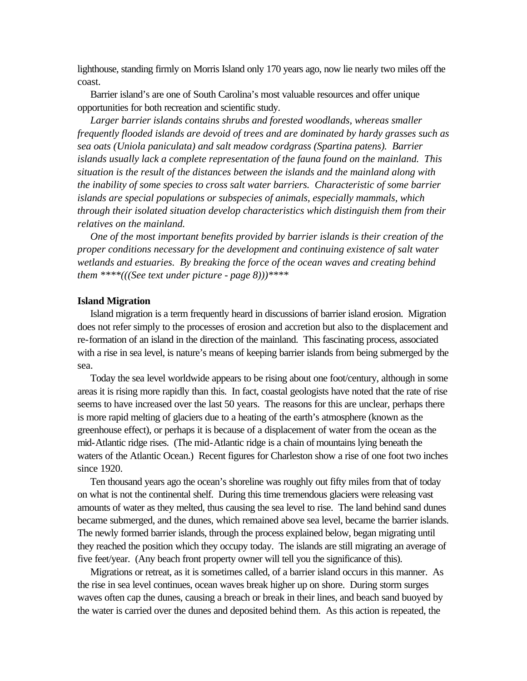lighthouse, standing firmly on Morris Island only 170 years ago, now lie nearly two miles off the coast.

 Barrier island's are one of South Carolina's most valuable resources and offer unique opportunities for both recreation and scientific study.

 *Larger barrier islands contains shrubs and forested woodlands, whereas smaller frequently flooded islands are devoid of trees and are dominated by hardy grasses such as sea oats (Uniola paniculata) and salt meadow cordgrass (Spartina patens). Barrier islands usually lack a complete representation of the fauna found on the mainland. This situation is the result of the distances between the islands and the mainland along with the inability of some species to cross salt water barriers. Characteristic of some barrier islands are special populations or subspecies of animals, especially mammals, which through their isolated situation develop characteristics which distinguish them from their relatives on the mainland.*

 *One of the most important benefits provided by barrier islands is their creation of the proper conditions necessary for the development and continuing existence of salt water wetlands and estuaries. By breaking the force of the ocean waves and creating behind them \*\*\*\*(((See text under picture - page 8)))\*\*\*\**

### **Island Migration**

 Island migration is a term frequently heard in discussions of barrier island erosion. Migration does not refer simply to the processes of erosion and accretion but also to the displacement and re-formation of an island in the direction of the mainland. This fascinating process, associated with a rise in sea level, is nature's means of keeping barrier islands from being submerged by the sea.

 Today the sea level worldwide appears to be rising about one foot/century, although in some areas it is rising more rapidly than this. In fact, coastal geologists have noted that the rate of rise seems to have increased over the last 50 years. The reasons for this are unclear, perhaps there is more rapid melting of glaciers due to a heating of the earth's atmosphere (known as the greenhouse effect), or perhaps it is because of a displacement of water from the ocean as the mid-Atlantic ridge rises. (The mid-Atlantic ridge is a chain of mountains lying beneath the waters of the Atlantic Ocean.) Recent figures for Charleston show a rise of one foot two inches since 1920.

 Ten thousand years ago the ocean's shoreline was roughly out fifty miles from that of today on what is not the continental shelf. During this time tremendous glaciers were releasing vast amounts of water as they melted, thus causing the sea level to rise. The land behind sand dunes became submerged, and the dunes, which remained above sea level, became the barrier islands. The newly formed barrier islands, through the process explained below, began migrating until they reached the position which they occupy today. The islands are still migrating an average of five feet/year. (Any beach front property owner will tell you the significance of this).

 Migrations or retreat, as it is sometimes called, of a barrier island occurs in this manner. As the rise in sea level continues, ocean waves break higher up on shore. During storm surges waves often cap the dunes, causing a breach or break in their lines, and beach sand buoyed by the water is carried over the dunes and deposited behind them. As this action is repeated, the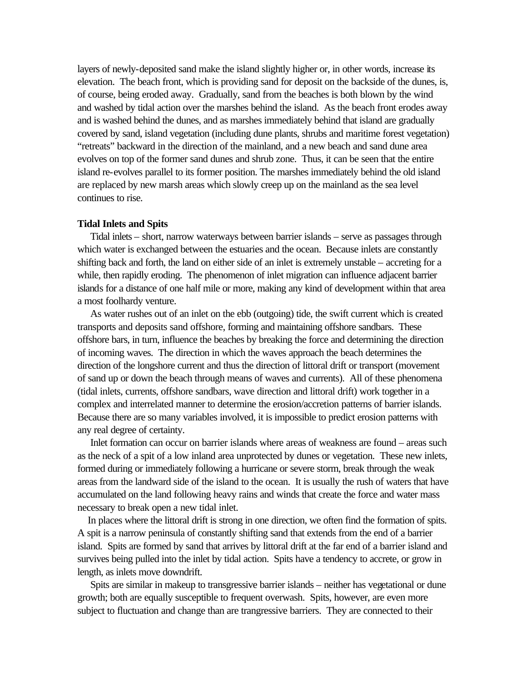layers of newly-deposited sand make the island slightly higher or, in other words, increase its elevation. The beach front, which is providing sand for deposit on the backside of the dunes, is, of course, being eroded away. Gradually, sand from the beaches is both blown by the wind and washed by tidal action over the marshes behind the island. As the beach front erodes away and is washed behind the dunes, and as marshes immediately behind that island are gradually covered by sand, island vegetation (including dune plants, shrubs and maritime forest vegetation) "retreats" backward in the direction of the mainland, and a new beach and sand dune area evolves on top of the former sand dunes and shrub zone. Thus, it can be seen that the entire island re-evolves parallel to its former position. The marshes immediately behind the old island are replaced by new marsh areas which slowly creep up on the mainland as the sea level continues to rise.

### **Tidal Inlets and Spits**

 Tidal inlets – short, narrow waterways between barrier islands – serve as passages through which water is exchanged between the estuaries and the ocean. Because inlets are constantly shifting back and forth, the land on either side of an inlet is extremely unstable – accreting for a while, then rapidly eroding. The phenomenon of inlet migration can influence adjacent barrier islands for a distance of one half mile or more, making any kind of development within that area a most foolhardy venture.

 As water rushes out of an inlet on the ebb (outgoing) tide, the swift current which is created transports and deposits sand offshore, forming and maintaining offshore sandbars. These offshore bars, in turn, influence the beaches by breaking the force and determining the direction of incoming waves. The direction in which the waves approach the beach determines the direction of the longshore current and thus the direction of littoral drift or transport (movement of sand up or down the beach through means of waves and currents). All of these phenomena (tidal inlets, currents, offshore sandbars, wave direction and littoral drift) work together in a complex and interrelated manner to determine the erosion/accretion patterns of barrier islands. Because there are so many variables involved, it is impossible to predict erosion patterns with any real degree of certainty.

Inlet formation can occur on barrier islands where areas of weakness are found – areas such as the neck of a spit of a low inland area unprotected by dunes or vegetation. These new inlets, formed during or immediately following a hurricane or severe storm, break through the weak areas from the landward side of the island to the ocean. It is usually the rush of waters that have accumulated on the land following heavy rains and winds that create the force and water mass necessary to break open a new tidal inlet.

 In places where the littoral drift is strong in one direction, we often find the formation of spits. A spit is a narrow peninsula of constantly shifting sand that extends from the end of a barrier island. Spits are formed by sand that arrives by littoral drift at the far end of a barrier island and survives being pulled into the inlet by tidal action. Spits have a tendency to accrete, or grow in length, as inlets move downdrift.

 Spits are similar in makeup to transgressive barrier islands – neither has vegetational or dune growth; both are equally susceptible to frequent overwash. Spits, however, are even more subject to fluctuation and change than are trangressive barriers. They are connected to their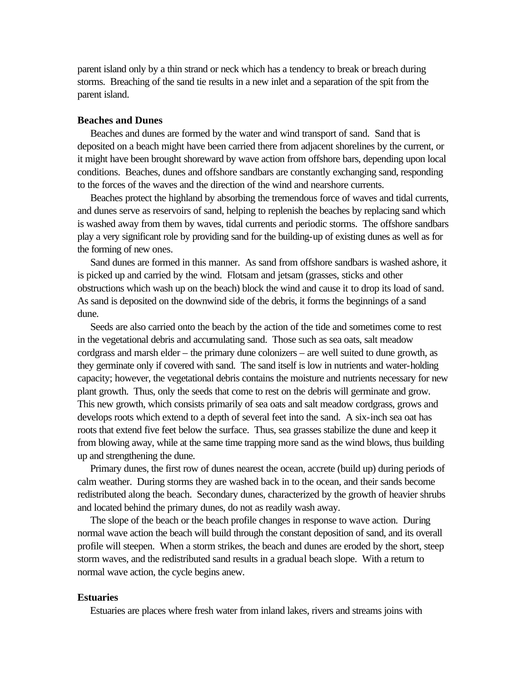parent island only by a thin strand or neck which has a tendency to break or breach during storms. Breaching of the sand tie results in a new inlet and a separation of the spit from the parent island.

# **Beaches and Dunes**

 Beaches and dunes are formed by the water and wind transport of sand. Sand that is deposited on a beach might have been carried there from adjacent shorelines by the current, or it might have been brought shoreward by wave action from offshore bars, depending upon local conditions. Beaches, dunes and offshore sandbars are constantly exchanging sand, responding to the forces of the waves and the direction of the wind and nearshore currents.

 Beaches protect the highland by absorbing the tremendous force of waves and tidal currents, and dunes serve as reservoirs of sand, helping to replenish the beaches by replacing sand which is washed away from them by waves, tidal currents and periodic storms. The offshore sandbars play a very significant role by providing sand for the building-up of existing dunes as well as for the forming of new ones.

 Sand dunes are formed in this manner. As sand from offshore sandbars is washed ashore, it is picked up and carried by the wind. Flotsam and jetsam (grasses, sticks and other obstructions which wash up on the beach) block the wind and cause it to drop its load of sand. As sand is deposited on the downwind side of the debris, it forms the beginnings of a sand dune.

 Seeds are also carried onto the beach by the action of the tide and sometimes come to rest in the vegetational debris and accumulating sand. Those such as sea oats, salt meadow cordgrass and marsh elder – the primary dune colonizers – are well suited to dune growth, as they germinate only if covered with sand. The sand itself is low in nutrients and water-holding capacity; however, the vegetational debris contains the moisture and nutrients necessary for new plant growth. Thus, only the seeds that come to rest on the debris will germinate and grow. This new growth, which consists primarily of sea oats and salt meadow cordgrass, grows and develops roots which extend to a depth of several feet into the sand. A six-inch sea oat has roots that extend five feet below the surface. Thus, sea grasses stabilize the dune and keep it from blowing away, while at the same time trapping more sand as the wind blows, thus building up and strengthening the dune.

 Primary dunes, the first row of dunes nearest the ocean, accrete (build up) during periods of calm weather. During storms they are washed back in to the ocean, and their sands become redistributed along the beach. Secondary dunes, characterized by the growth of heavier shrubs and located behind the primary dunes, do not as readily wash away.

 The slope of the beach or the beach profile changes in response to wave action. During normal wave action the beach will build through the constant deposition of sand, and its overall profile will steepen. When a storm strikes, the beach and dunes are eroded by the short, steep storm waves, and the redistributed sand results in a gradual beach slope. With a return to normal wave action, the cycle begins anew.

## **Estuaries**

Estuaries are places where fresh water from inland lakes, rivers and streams joins with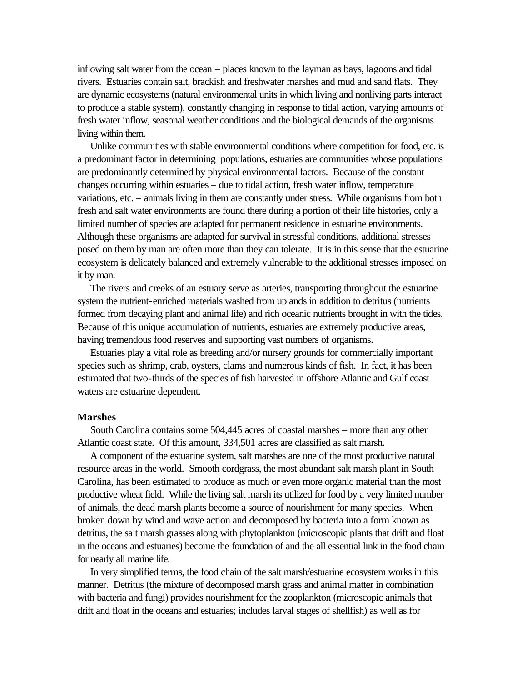inflowing salt water from the ocean – places known to the layman as bays, lagoons and tidal rivers. Estuaries contain salt, brackish and freshwater marshes and mud and sand flats. They are dynamic ecosystems (natural environmental units in which living and nonliving parts interact to produce a stable system), constantly changing in response to tidal action, varying amounts of fresh water inflow, seasonal weather conditions and the biological demands of the organisms living within them.

 Unlike communities with stable environmental conditions where competition for food, etc. is a predominant factor in determining populations, estuaries are communities whose populations are predominantly determined by physical environmental factors. Because of the constant changes occurring within estuaries – due to tidal action, fresh water inflow, temperature variations, etc. – animals living in them are constantly under stress. While organisms from both fresh and salt water environments are found there during a portion of their life histories, only a limited number of species are adapted for permanent residence in estuarine environments. Although these organisms are adapted for survival in stressful conditions, additional stresses posed on them by man are often more than they can tolerate. It is in this sense that the estuarine ecosystem is delicately balanced and extremely vulnerable to the additional stresses imposed on it by man.

 The rivers and creeks of an estuary serve as arteries, transporting throughout the estuarine system the nutrient-enriched materials washed from uplands in addition to detritus (nutrients formed from decaying plant and animal life) and rich oceanic nutrients brought in with the tides. Because of this unique accumulation of nutrients, estuaries are extremely productive areas, having tremendous food reserves and supporting vast numbers of organisms.

 Estuaries play a vital role as breeding and/or nursery grounds for commercially important species such as shrimp, crab, oysters, clams and numerous kinds of fish. In fact, it has been estimated that two-thirds of the species of fish harvested in offshore Atlantic and Gulf coast waters are estuarine dependent.

#### **Marshes**

 South Carolina contains some 504,445 acres of coastal marshes – more than any other Atlantic coast state. Of this amount, 334,501 acres are classified as salt marsh.

 A component of the estuarine system, salt marshes are one of the most productive natural resource areas in the world. Smooth cordgrass, the most abundant salt marsh plant in South Carolina, has been estimated to produce as much or even more organic material than the most productive wheat field. While the living salt marsh its utilized for food by a very limited number of animals, the dead marsh plants become a source of nourishment for many species. When broken down by wind and wave action and decomposed by bacteria into a form known as detritus, the salt marsh grasses along with phytoplankton (microscopic plants that drift and float in the oceans and estuaries) become the foundation of and the all essential link in the food chain for nearly all marine life.

 In very simplified terms, the food chain of the salt marsh/estuarine ecosystem works in this manner. Detritus (the mixture of decomposed marsh grass and animal matter in combination with bacteria and fungi) provides nourishment for the zooplankton (microscopic animals that drift and float in the oceans and estuaries; includes larval stages of shellfish) as well as for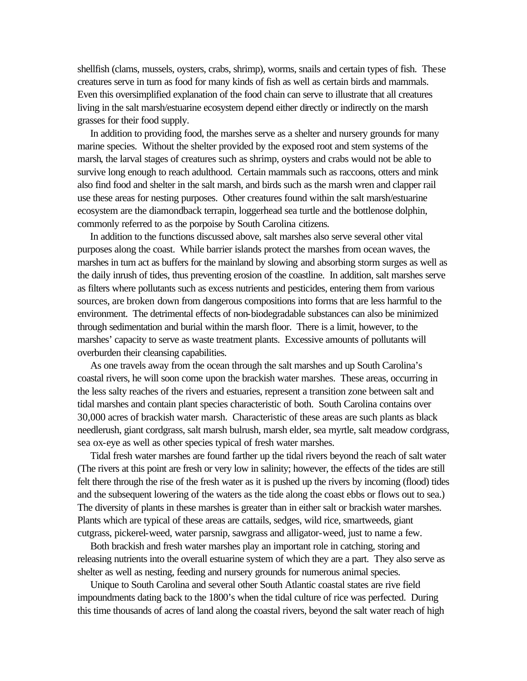shellfish (clams, mussels, oysters, crabs, shrimp), worms, snails and certain types of fish. These creatures serve in turn as food for many kinds of fish as well as certain birds and mammals. Even this oversimplified explanation of the food chain can serve to illustrate that all creatures living in the salt marsh/estuarine ecosystem depend either directly or indirectly on the marsh grasses for their food supply.

 In addition to providing food, the marshes serve as a shelter and nursery grounds for many marine species. Without the shelter provided by the exposed root and stem systems of the marsh, the larval stages of creatures such as shrimp, oysters and crabs would not be able to survive long enough to reach adulthood. Certain mammals such as raccoons, otters and mink also find food and shelter in the salt marsh, and birds such as the marsh wren and clapper rail use these areas for nesting purposes. Other creatures found within the salt marsh/estuarine ecosystem are the diamondback terrapin, loggerhead sea turtle and the bottlenose dolphin, commonly referred to as the porpoise by South Carolina citizens.

 In addition to the functions discussed above, salt marshes also serve several other vital purposes along the coast. While barrier islands protect the marshes from ocean waves, the marshes in turn act as buffers for the mainland by slowing and absorbing storm surges as well as the daily inrush of tides, thus preventing erosion of the coastline. In addition, salt marshes serve as filters where pollutants such as excess nutrients and pesticides, entering them from various sources, are broken down from dangerous compositions into forms that are less harmful to the environment. The detrimental effects of non-biodegradable substances can also be minimized through sedimentation and burial within the marsh floor. There is a limit, however, to the marshes' capacity to serve as waste treatment plants. Excessive amounts of pollutants will overburden their cleansing capabilities.

 As one travels away from the ocean through the salt marshes and up South Carolina's coastal rivers, he will soon come upon the brackish water marshes. These areas, occurring in the less salty reaches of the rivers and estuaries, represent a transition zone between salt and tidal marshes and contain plant species characteristic of both. South Carolina contains over 30,000 acres of brackish water marsh. Characteristic of these areas are such plants as black needlerush, giant cordgrass, salt marsh bulrush, marsh elder, sea myrtle, salt meadow cordgrass, sea ox-eye as well as other species typical of fresh water marshes.

 Tidal fresh water marshes are found farther up the tidal rivers beyond the reach of salt water (The rivers at this point are fresh or very low in salinity; however, the effects of the tides are still felt there through the rise of the fresh water as it is pushed up the rivers by incoming (flood) tides and the subsequent lowering of the waters as the tide along the coast ebbs or flows out to sea.) The diversity of plants in these marshes is greater than in either salt or brackish water marshes. Plants which are typical of these areas are cattails, sedges, wild rice, smartweeds, giant cutgrass, pickerel-weed, water parsnip, sawgrass and alligator-weed, just to name a few.

 Both brackish and fresh water marshes play an important role in catching, storing and releasing nutrients into the overall estuarine system of which they are a part. They also serve as shelter as well as nesting, feeding and nursery grounds for numerous animal species.

 Unique to South Carolina and several other South Atlantic coastal states are rive field impoundments dating back to the 1800's when the tidal culture of rice was perfected. During this time thousands of acres of land along the coastal rivers, beyond the salt water reach of high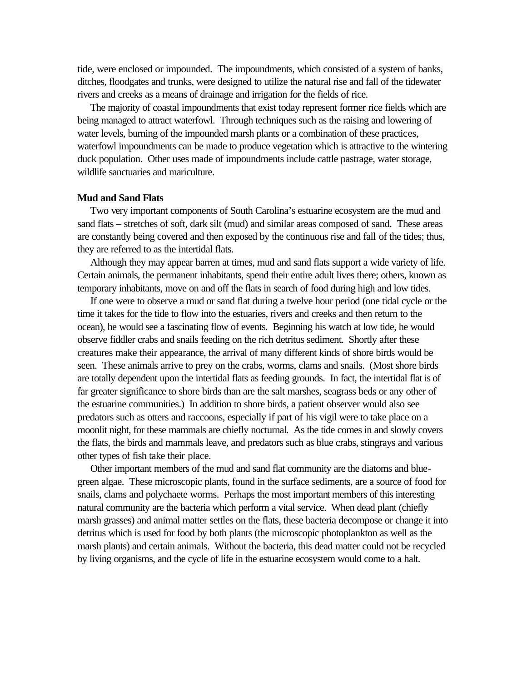tide, were enclosed or impounded. The impoundments, which consisted of a system of banks, ditches, floodgates and trunks, were designed to utilize the natural rise and fall of the tidewater rivers and creeks as a means of drainage and irrigation for the fields of rice.

 The majority of coastal impoundments that exist today represent former rice fields which are being managed to attract waterfowl. Through techniques such as the raising and lowering of water levels, burning of the impounded marsh plants or a combination of these practices, waterfowl impoundments can be made to produce vegetation which is attractive to the wintering duck population. Other uses made of impoundments include cattle pastrage, water storage, wildlife sanctuaries and mariculture.

## **Mud and Sand Flats**

 Two very important components of South Carolina's estuarine ecosystem are the mud and sand flats – stretches of soft, dark silt (mud) and similar areas composed of sand. These areas are constantly being covered and then exposed by the continuous rise and fall of the tides; thus, they are referred to as the intertidal flats.

 Although they may appear barren at times, mud and sand flats support a wide variety of life. Certain animals, the permanent inhabitants, spend their entire adult lives there; others, known as temporary inhabitants, move on and off the flats in search of food during high and low tides.

 If one were to observe a mud or sand flat during a twelve hour period (one tidal cycle or the time it takes for the tide to flow into the estuaries, rivers and creeks and then return to the ocean), he would see a fascinating flow of events. Beginning his watch at low tide, he would observe fiddler crabs and snails feeding on the rich detritus sediment. Shortly after these creatures make their appearance, the arrival of many different kinds of shore birds would be seen. These animals arrive to prey on the crabs, worms, clams and snails. (Most shore birds are totally dependent upon the intertidal flats as feeding grounds. In fact, the intertidal flat is of far greater significance to shore birds than are the salt marshes, seagrass beds or any other of the estuarine communities.) In addition to shore birds, a patient observer would also see predators such as otters and raccoons, especially if part of his vigil were to take place on a moonlit night, for these mammals are chiefly nocturnal. As the tide comes in and slowly covers the flats, the birds and mammals leave, and predators such as blue crabs, stingrays and various other types of fish take their place.

 Other important members of the mud and sand flat community are the diatoms and bluegreen algae. These microscopic plants, found in the surface sediments, are a source of food for snails, clams and polychaete worms. Perhaps the most important members of this interesting natural community are the bacteria which perform a vital service. When dead plant (chiefly marsh grasses) and animal matter settles on the flats, these bacteria decompose or change it into detritus which is used for food by both plants (the microscopic photoplankton as well as the marsh plants) and certain animals. Without the bacteria, this dead matter could not be recycled by living organisms, and the cycle of life in the estuarine ecosystem would come to a halt.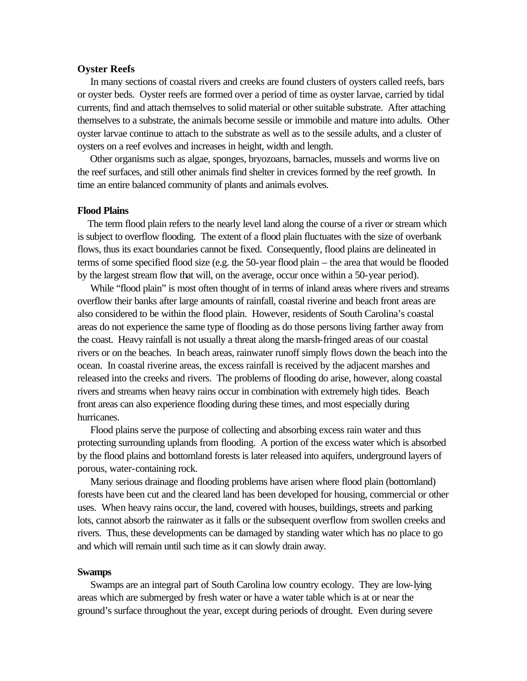#### **Oyster Reefs**

 In many sections of coastal rivers and creeks are found clusters of oysters called reefs, bars or oyster beds. Oyster reefs are formed over a period of time as oyster larvae, carried by tidal currents, find and attach themselves to solid material or other suitable substrate. After attaching themselves to a substrate, the animals become sessile or immobile and mature into adults. Other oyster larvae continue to attach to the substrate as well as to the sessile adults, and a cluster of oysters on a reef evolves and increases in height, width and length.

 Other organisms such as algae, sponges, bryozoans, barnacles, mussels and worms live on the reef surfaces, and still other animals find shelter in crevices formed by the reef growth. In time an entire balanced community of plants and animals evolves.

## **Flood Plains**

 The term flood plain refers to the nearly level land along the course of a river or stream which is subject to overflow flooding. The extent of a flood plain fluctuates with the size of overbank flows, thus its exact boundaries cannot be fixed. Consequently, flood plains are delineated in terms of some specified flood size (e.g. the 50-year flood plain – the area that would be flooded by the largest stream flow that will, on the average, occur once within a 50-year period).

While "flood plain" is most often thought of in terms of inland areas where rivers and streams overflow their banks after large amounts of rainfall, coastal riverine and beach front areas are also considered to be within the flood plain. However, residents of South Carolina's coastal areas do not experience the same type of flooding as do those persons living farther away from the coast. Heavy rainfall is not usually a threat along the marsh-fringed areas of our coastal rivers or on the beaches. In beach areas, rainwater runoff simply flows down the beach into the ocean. In coastal riverine areas, the excess rainfall is received by the adjacent marshes and released into the creeks and rivers. The problems of flooding do arise, however, along coastal rivers and streams when heavy rains occur in combination with extremely high tides. Beach front areas can also experience flooding during these times, and most especially during hurricanes.

 Flood plains serve the purpose of collecting and absorbing excess rain water and thus protecting surrounding uplands from flooding. A portion of the excess water which is absorbed by the flood plains and bottomland forests is later released into aquifers, underground layers of porous, water-containing rock.

 Many serious drainage and flooding problems have arisen where flood plain (bottomland) forests have been cut and the cleared land has been developed for housing, commercial or other uses. When heavy rains occur, the land, covered with houses, buildings, streets and parking lots, cannot absorb the rainwater as it falls or the subsequent overflow from swollen creeks and rivers. Thus, these developments can be damaged by standing water which has no place to go and which will remain until such time as it can slowly drain away.

### **Swamps**

 Swamps are an integral part of South Carolina low country ecology. They are low-lying areas which are submerged by fresh water or have a water table which is at or near the ground's surface throughout the year, except during periods of drought. Even during severe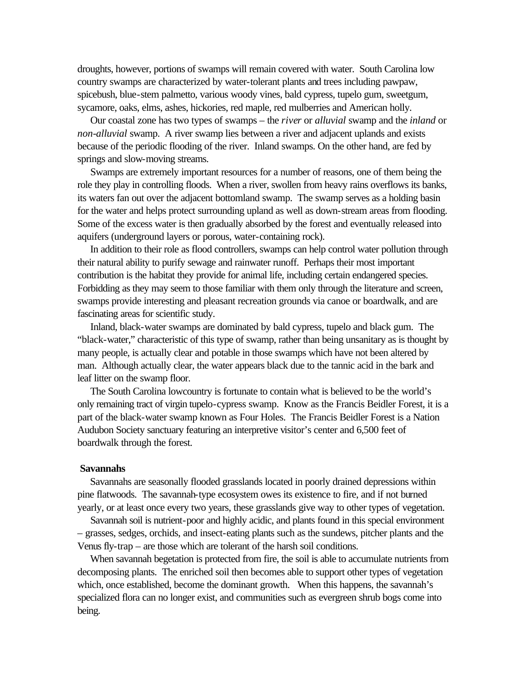droughts, however, portions of swamps will remain covered with water. South Carolina low country swamps are characterized by water-tolerant plants and trees including pawpaw, spicebush, blue-stem palmetto, various woody vines, bald cypress, tupelo gum, sweetgum, sycamore, oaks, elms, ashes, hickories, red maple, red mulberries and American holly.

 Our coastal zone has two types of swamps – the *river* or *alluvial* swamp and the *inland* or *non-alluvial* swamp. A river swamp lies between a river and adjacent uplands and exists because of the periodic flooding of the river. Inland swamps. On the other hand, are fed by springs and slow-moving streams.

 Swamps are extremely important resources for a number of reasons, one of them being the role they play in controlling floods. When a river, swollen from heavy rains overflows its banks, its waters fan out over the adjacent bottomland swamp. The swamp serves as a holding basin for the water and helps protect surrounding upland as well as down-stream areas from flooding. Some of the excess water is then gradually absorbed by the forest and eventually released into aquifers (underground layers or porous, water-containing rock).

 In addition to their role as flood controllers, swamps can help control water pollution through their natural ability to purify sewage and rainwater runoff. Perhaps their most important contribution is the habitat they provide for animal life, including certain endangered species. Forbidding as they may seem to those familiar with them only through the literature and screen, swamps provide interesting and pleasant recreation grounds via canoe or boardwalk, and are fascinating areas for scientific study.

 Inland, black-water swamps are dominated by bald cypress, tupelo and black gum. The "black-water," characteristic of this type of swamp, rather than being unsanitary as is thought by many people, is actually clear and potable in those swamps which have not been altered by man. Although actually clear, the water appears black due to the tannic acid in the bark and leaf litter on the swamp floor.

 The South Carolina lowcountry is fortunate to contain what is believed to be the world's only remaining tract of virgin tupelo-cypress swamp. Know as the Francis Beidler Forest, it is a part of the black-water swamp known as Four Holes. The Francis Beidler Forest is a Nation Audubon Society sanctuary featuring an interpretive visitor's center and 6,500 feet of boardwalk through the forest.

### **Savannahs**

 Savannahs are seasonally flooded grasslands located in poorly drained depressions within pine flatwoods. The savannah-type ecosystem owes its existence to fire, and if not burned yearly, or at least once every two years, these grasslands give way to other types of vegetation.

 Savannah soil is nutrient-poor and highly acidic, and plants found in this special environment – grasses, sedges, orchids, and insect-eating plants such as the sundews, pitcher plants and the Venus fly-trap – are those which are tolerant of the harsh soil conditions.

 When savannah begetation is protected from fire, the soil is able to accumulate nutrients from decomposing plants. The enriched soil then becomes able to support other types of vegetation which, once established, become the dominant growth. When this happens, the savannah's specialized flora can no longer exist, and communities such as evergreen shrub bogs come into being.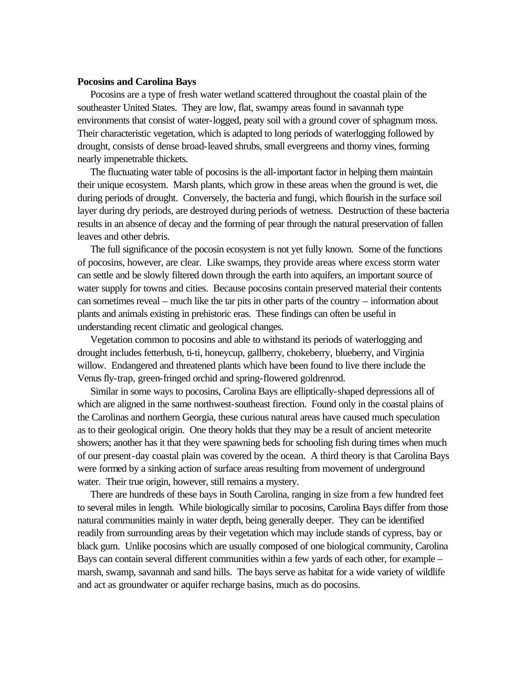### **Pocosins and Carolina Bays**

 Pocosins are a type of fresh water wetland scattered throughout the coastal plain of the southeaster United States. They are low, flat, swampy areas found in savannah type environments that consist of water-logged, peaty soil with a ground cover of sphagnum moss. Their characteristic vegetation, which is adapted to long periods of waterlogging followed by drought, consists of dense broad-leaved shrubs, small evergreens and thorny vines, forming nearly impenetrable thickets.

 The fluctuating water table of pocosins is the all-important factor in helping them maintain their unique ecosystem. Marsh plants, which grow in these areas when the ground is wet, die during periods of drought. Conversely, the bacteria and fungi, which flourish in the surface soil layer during dry periods, are destroyed during periods of wetness. Destruction of these bacteria results in an absence of decay and the forming of pear through the natural preservation of fallen leaves and other debris.

 The full significance of the pocosin ecosystem is not yet fully known. Some of the functions of pocosins, however, are clear. Like swamps, they provide areas where excess storm water can settle and be slowly filtered down through the earth into aquifers, an important source of water supply for towns and cities. Because pocosins contain preserved material their contents can sometimes reveal – much like the tar pits in other parts of the country – information about plants and animals existing in prehistoric eras. These findings can often be useful in understanding recent climatic and geological changes.

 Vegetation common to pocosins and able to withstand its periods of waterlogging and drought includes fetterbush, ti-ti, honeycup, gallberry, chokeberry, blueberry, and Virginia willow. Endangered and threatened plants which have been found to live there include the Venus fly-trap, green-fringed orchid and spring-flowered goldrenrod.

 Similar in some ways to pocosins, Carolina Bays are elliptically-shaped depressions all of which are aligned in the same northwest-southeast firection. Found only in the coastal plains of the Carolinas and northern Georgia, these curious natural areas have caused much speculation as to their geological origin. One theory holds that they may be a result of ancient meteorite showers; another has it that they were spawning beds for schooling fish during times when much of our present-day coastal plain was covered by the ocean. A third theory is that Carolina Bays were formed by a sinking action of surface areas resulting from movement of underground water. Their true origin, however, still remains a mystery.

 There are hundreds of these bays in South Carolina, ranging in size from a few hundred feet to several miles in length. While biologically similar to pocosins, Carolina Bays differ from those natural communities mainly in water depth, being generally deeper. They can be identified readily from surrounding areas by their vegetation which may include stands of cypress, bay or black gum. Unlike pocosins which are usually composed of one biological community, Carolina Bays can contain several different communities within a few yards of each other, for example – marsh, swamp, savannah and sand hills. The bays serve as habitat for a wide variety of wildlife and act as groundwater or aquifer recharge basins, much as do pocosins.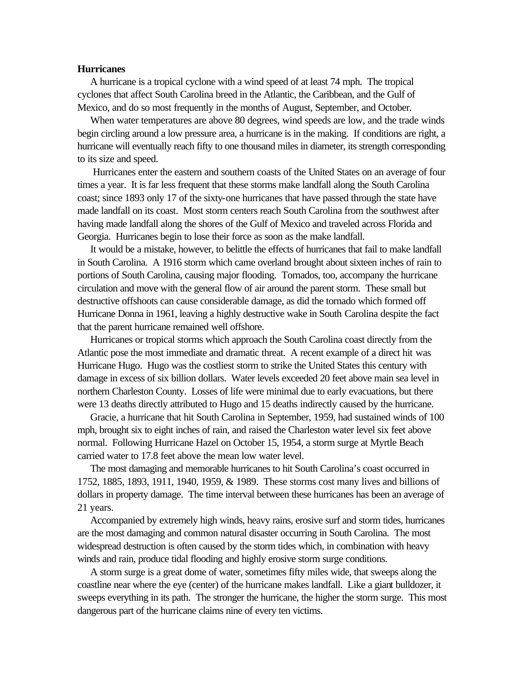### **Hurricanes**

 A hurricane is a tropical cyclone with a wind speed of at least 74 mph. The tropical cyclones that affect South Carolina breed in the Atlantic, the Caribbean, and the Gulf of Mexico, and do so most frequently in the months of August, September, and October.

 When water temperatures are above 80 degrees, wind speeds are low, and the trade winds begin circling around a low pressure area, a hurricane is in the making. If conditions are right, a hurricane will eventually reach fifty to one thousand miles in diameter, its strength corresponding to its size and speed.

 Hurricanes enter the eastern and southern coasts of the United States on an average of four times a year. It is far less frequent that these storms make landfall along the South Carolina coast; since 1893 only 17 of the sixty-one hurricanes that have passed through the state have made landfall on its coast. Most storm centers reach South Carolina from the southwest after having made landfall along the shores of the Gulf of Mexico and traveled across Florida and Georgia. Hurricanes begin to lose their force as soon as the make landfall.

 It would be a mistake, however, to belittle the effects of hurricanes that fail to make landfall in South Carolina. A 1916 storm which came overland brought about sixteen inches of rain to portions of South Carolina, causing major flooding. Tornados, too, accompany the hurricane circulation and move with the general flow of air around the parent storm. These small but destructive offshoots can cause considerable damage, as did the tornado which formed off Hurricane Donna in 1961, leaving a highly destructive wake in South Carolina despite the fact that the parent hurricane remained well offshore.

 Hurricanes or tropical storms which approach the South Carolina coast directly from the Atlantic pose the most immediate and dramatic threat. A recent example of a direct hit was Hurricane Hugo. Hugo was the costliest storm to strike the United States this century with damage in excess of six billion dollars. Water levels exceeded 20 feet above main sea level in northern Charleston County. Losses of life were minimal due to early evacuations, but there were 13 deaths directly attributed to Hugo and 15 deaths indirectly caused by the hurricane.

 Gracie, a hurricane that hit South Carolina in September, 1959, had sustained winds of 100 mph, brought six to eight inches of rain, and raised the Charleston water level six feet above normal. Following Hurricane Hazel on October 15, 1954, a storm surge at Myrtle Beach carried water to 17.8 feet above the mean low water level.

 The most damaging and memorable hurricanes to hit South Carolina's coast occurred in 1752, 1885, 1893, 1911, 1940, 1959, & 1989. These storms cost many lives and billions of dollars in property damage. The time interval between these hurricanes has been an average of 21 years.

 Accompanied by extremely high winds, heavy rains, erosive surf and storm tides, hurricanes are the most damaging and common natural disaster occurring in South Carolina. The most widespread destruction is often caused by the storm tides which, in combination with heavy winds and rain, produce tidal flooding and highly erosive storm surge conditions.

 A storm surge is a great dome of water, sometimes fifty miles wide, that sweeps along the coastline near where the eye (center) of the hurricane makes landfall. Like a giant bulldozer, it sweeps everything in its path. The stronger the hurricane, the higher the storm surge. This most dangerous part of the hurricane claims nine of every ten victims.